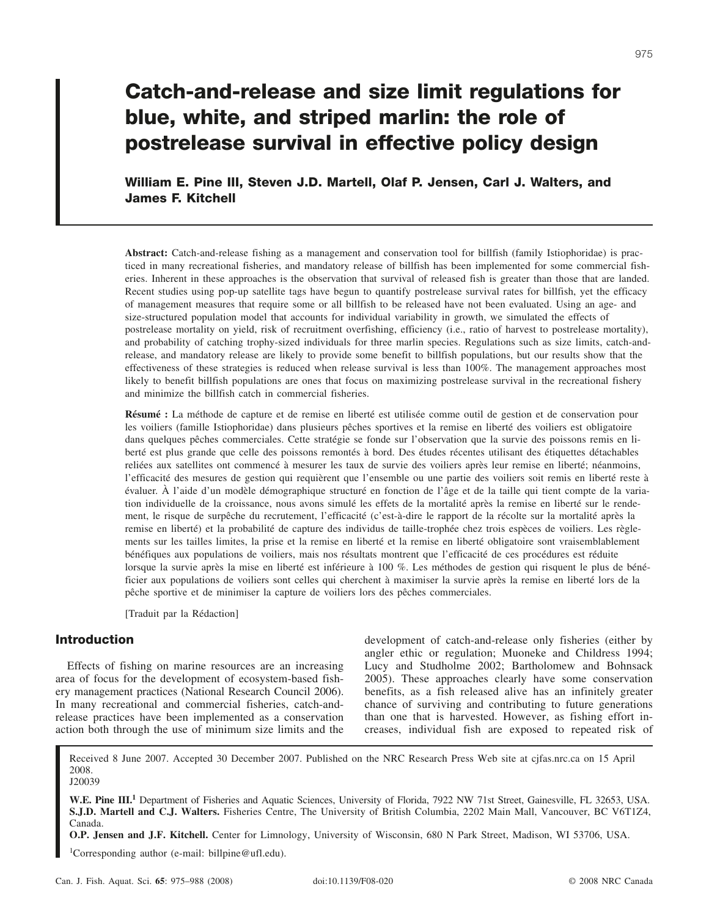# **Catch-and-release and size limit regulations for blue, white, and striped marlin: the role of postrelease survival in effective policy design**

**William E. Pine III, Steven J.D. Martell, Olaf P. Jensen, Carl J. Walters, and James F. Kitchell**

**Abstract:** Catch-and-release fishing as a management and conservation tool for billfish (family Istiophoridae) is practiced in many recreational fisheries, and mandatory release of billfish has been implemented for some commercial fisheries. Inherent in these approaches is the observation that survival of released fish is greater than those that are landed. Recent studies using pop-up satellite tags have begun to quantify postrelease survival rates for billfish, yet the efficacy of management measures that require some or all billfish to be released have not been evaluated. Using an age- and size-structured population model that accounts for individual variability in growth, we simulated the effects of postrelease mortality on yield, risk of recruitment overfishing, efficiency (i.e., ratio of harvest to postrelease mortality), and probability of catching trophy-sized individuals for three marlin species. Regulations such as size limits, catch-andrelease, and mandatory release are likely to provide some benefit to billfish populations, but our results show that the effectiveness of these strategies is reduced when release survival is less than 100%. The management approaches most likely to benefit billfish populations are ones that focus on maximizing postrelease survival in the recreational fishery and minimize the billfish catch in commercial fisheries.

**Résumé :** La méthode de capture et de remise en liberté est utilisée comme outil de gestion et de conservation pour les voiliers (famille Istiophoridae) dans plusieurs pêches sportives et la remise en liberté des voiliers est obligatoire dans quelques pêches commerciales. Cette stratégie se fonde sur l'observation que la survie des poissons remis en liberté est plus grande que celle des poissons remontés à bord. Des études récentes utilisant des étiquettes détachables reliées aux satellites ont commencé à mesurer les taux de survie des voiliers après leur remise en liberté; néanmoins, l'efficacité des mesures de gestion qui requièrent que l'ensemble ou une partie des voiliers soit remis en liberté reste à évaluer. À l'aide d'un modèle démographique structuré en fonction de l'âge et de la taille qui tient compte de la variation individuelle de la croissance, nous avons simulé les effets de la mortalité après la remise en liberté sur le rendement, le risque de surpêche du recrutement, l'efficacité (c'est-à-dire le rapport de la récolte sur la mortalité après la remise en liberté) et la probabilité de capture des individus de taille-trophée chez trois espèces de voiliers. Les règlements sur les tailles limites, la prise et la remise en liberté et la remise en liberté obligatoire sont vraisemblablement bénéfiques aux populations de voiliers, mais nos résultats montrent que l'efficacité de ces procédures est réduite lorsque la survie après la mise en liberté est inférieure à 100 %. Les méthodes de gestion qui risquent le plus de bénéficier aux populations de voiliers sont celles qui cherchent à maximiser la survie après la remise en liberté lors de la pêche sportive et de minimiser la capture de voiliers lors des pêches commerciales.

[Traduit par la Rédaction]

# **Introduction**

Effects of fishing on marine resources are an increasing area of focus for the development of ecosystem-based fishery management practices (National Research Council 2006). In many recreational and commercial fisheries, catch-andrelease practices have been implemented as a conservation action both through the use of minimum size limits and the

development of catch-and-release only fisheries (either by angler ethic or regulation; Muoneke and Childress 1994; Lucy and Studholme 2002; Bartholomew and Bohnsack 2005). These approaches clearly have some conservation benefits, as a fish released alive has an infinitely greater chance of surviving and contributing to future generations than one that is harvested. However, as fishing effort increases, individual fish are exposed to repeated risk of

Received 8 June 2007. Accepted 30 December 2007. Published on the NRC Research Press Web site at cjfas.nrc.ca on 15 April 2008. J20039

**W.E. Pine III.1** Department of Fisheries and Aquatic Sciences, University of Florida, 7922 NW 71st Street, Gainesville, FL 32653, USA. **S.J.D. Martell and C.J. Walters.** Fisheries Centre, The University of British Columbia, 2202 Main Mall, Vancouver, BC V6T1Z4, Canada.

**O.P. Jensen and J.F. Kitchell.** Center for Limnology, University of Wisconsin, 680 N Park Street, Madison, WI 53706, USA.

1 Corresponding author (e-mail: billpine@ufl.edu).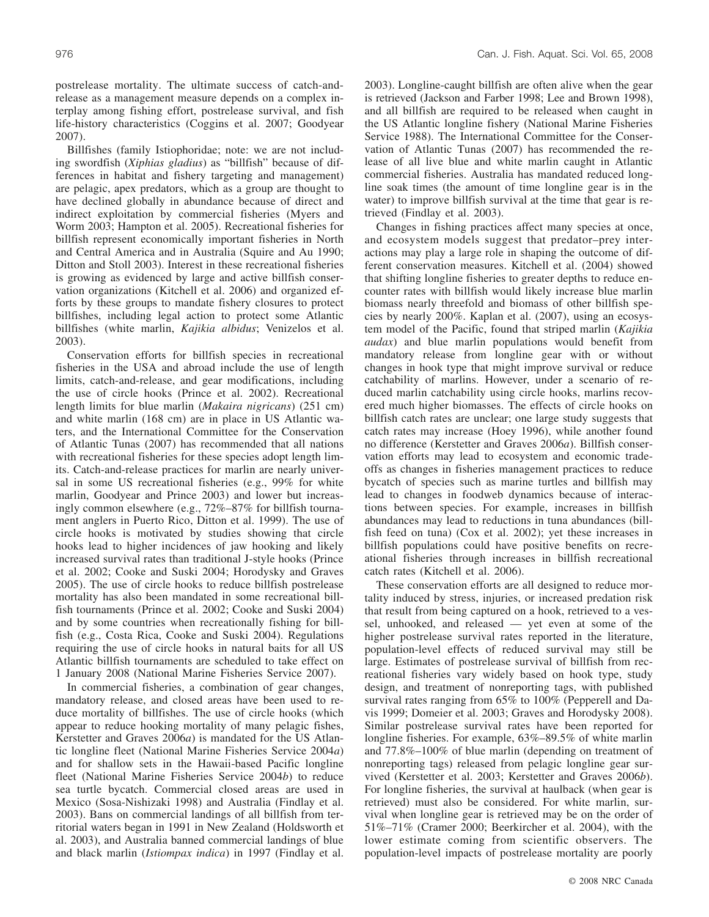976 Can. J. Fish. Aquat. Sci. Vol. 65, 2008

postrelease mortality. The ultimate success of catch-andrelease as a management measure depends on a complex interplay among fishing effort, postrelease survival, and fish life-history characteristics (Coggins et al. 2007; Goodyear 2007).

Billfishes (family Istiophoridae; note: we are not including swordfish (*Xiphias gladius*) as "billfish" because of differences in habitat and fishery targeting and management) are pelagic, apex predators, which as a group are thought to have declined globally in abundance because of direct and indirect exploitation by commercial fisheries (Myers and Worm 2003; Hampton et al. 2005). Recreational fisheries for billfish represent economically important fisheries in North and Central America and in Australia (Squire and Au 1990; Ditton and Stoll 2003). Interest in these recreational fisheries is growing as evidenced by large and active billfish conservation organizations (Kitchell et al. 2006) and organized efforts by these groups to mandate fishery closures to protect billfishes, including legal action to protect some Atlantic billfishes (white marlin, *Kajikia albidus*; Venizelos et al. 2003).

Conservation efforts for billfish species in recreational fisheries in the USA and abroad include the use of length limits, catch-and-release, and gear modifications, including the use of circle hooks (Prince et al. 2002). Recreational length limits for blue marlin (*Makaira nigricans*) (251 cm) and white marlin (168 cm) are in place in US Atlantic waters, and the International Committee for the Conservation of Atlantic Tunas (2007) has recommended that all nations with recreational fisheries for these species adopt length limits. Catch-and-release practices for marlin are nearly universal in some US recreational fisheries (e.g., 99% for white marlin, Goodyear and Prince 2003) and lower but increasingly common elsewhere (e.g., 72%–87% for billfish tournament anglers in Puerto Rico, Ditton et al. 1999). The use of circle hooks is motivated by studies showing that circle hooks lead to higher incidences of jaw hooking and likely increased survival rates than traditional J-style hooks (Prince et al. 2002; Cooke and Suski 2004; Horodysky and Graves 2005). The use of circle hooks to reduce billfish postrelease mortality has also been mandated in some recreational billfish tournaments (Prince et al. 2002; Cooke and Suski 2004) and by some countries when recreationally fishing for billfish (e.g., Costa Rica, Cooke and Suski 2004). Regulations requiring the use of circle hooks in natural baits for all US Atlantic billfish tournaments are scheduled to take effect on 1 January 2008 (National Marine Fisheries Service 2007).

In commercial fisheries, a combination of gear changes, mandatory release, and closed areas have been used to reduce mortality of billfishes. The use of circle hooks (which appear to reduce hooking mortality of many pelagic fishes, Kerstetter and Graves 2006*a*) is mandated for the US Atlantic longline fleet (National Marine Fisheries Service 2004*a*) and for shallow sets in the Hawaii-based Pacific longline fleet (National Marine Fisheries Service 2004*b*) to reduce sea turtle bycatch. Commercial closed areas are used in Mexico (Sosa-Nishizaki 1998) and Australia (Findlay et al. 2003). Bans on commercial landings of all billfish from territorial waters began in 1991 in New Zealand (Holdsworth et al. 2003), and Australia banned commercial landings of blue and black marlin (*Istiompax indica*) in 1997 (Findlay et al. 2003). Longline-caught billfish are often alive when the gear is retrieved (Jackson and Farber 1998; Lee and Brown 1998), and all billfish are required to be released when caught in the US Atlantic longline fishery (National Marine Fisheries Service 1988). The International Committee for the Conservation of Atlantic Tunas (2007) has recommended the release of all live blue and white marlin caught in Atlantic commercial fisheries. Australia has mandated reduced longline soak times (the amount of time longline gear is in the water) to improve billfish survival at the time that gear is retrieved (Findlay et al. 2003).

Changes in fishing practices affect many species at once, and ecosystem models suggest that predator–prey interactions may play a large role in shaping the outcome of different conservation measures. Kitchell et al. (2004) showed that shifting longline fisheries to greater depths to reduce encounter rates with billfish would likely increase blue marlin biomass nearly threefold and biomass of other billfish species by nearly 200%. Kaplan et al. (2007), using an ecosystem model of the Pacific, found that striped marlin (*Kajikia audax*) and blue marlin populations would benefit from mandatory release from longline gear with or without changes in hook type that might improve survival or reduce catchability of marlins. However, under a scenario of reduced marlin catchability using circle hooks, marlins recovered much higher biomasses. The effects of circle hooks on billfish catch rates are unclear; one large study suggests that catch rates may increase (Hoey 1996), while another found no difference (Kerstetter and Graves 2006*a*). Billfish conservation efforts may lead to ecosystem and economic tradeoffs as changes in fisheries management practices to reduce bycatch of species such as marine turtles and billfish may lead to changes in foodweb dynamics because of interactions between species. For example, increases in billfish abundances may lead to reductions in tuna abundances (billfish feed on tuna) (Cox et al. 2002); yet these increases in billfish populations could have positive benefits on recreational fisheries through increases in billfish recreational catch rates (Kitchell et al. 2006).

These conservation efforts are all designed to reduce mortality induced by stress, injuries, or increased predation risk that result from being captured on a hook, retrieved to a vessel, unhooked, and released — yet even at some of the higher postrelease survival rates reported in the literature, population-level effects of reduced survival may still be large. Estimates of postrelease survival of billfish from recreational fisheries vary widely based on hook type, study design, and treatment of nonreporting tags, with published survival rates ranging from 65% to 100% (Pepperell and Davis 1999; Domeier et al. 2003; Graves and Horodysky 2008). Similar postrelease survival rates have been reported for longline fisheries. For example, 63%–89.5% of white marlin and 77.8%–100% of blue marlin (depending on treatment of nonreporting tags) released from pelagic longline gear survived (Kerstetter et al. 2003; Kerstetter and Graves 2006*b*). For longline fisheries, the survival at haulback (when gear is retrieved) must also be considered. For white marlin, survival when longline gear is retrieved may be on the order of 51%–71% (Cramer 2000; Beerkircher et al. 2004), with the lower estimate coming from scientific observers. The population-level impacts of postrelease mortality are poorly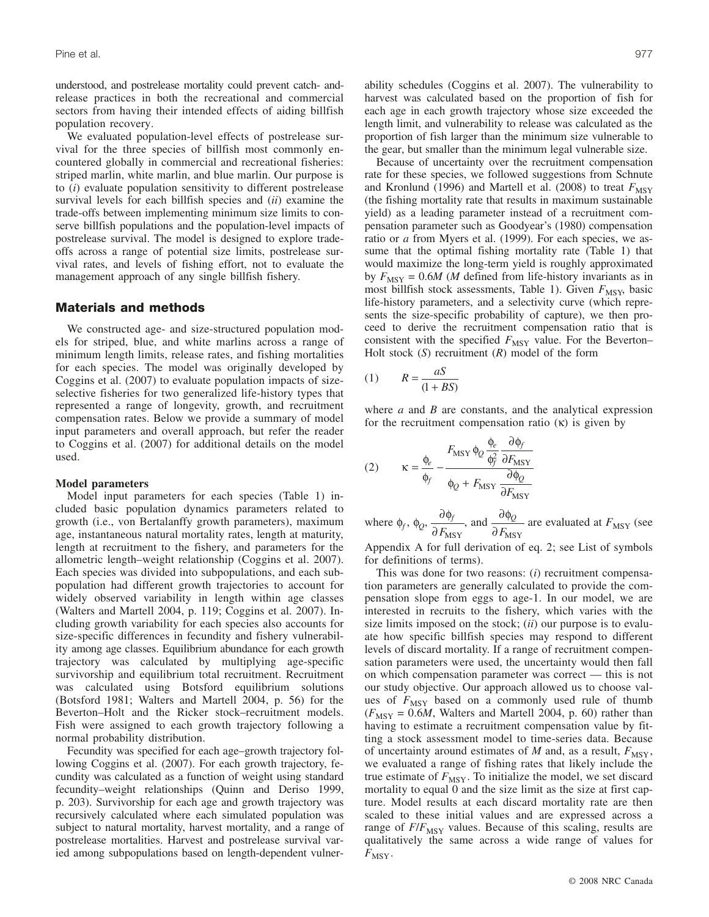understood, and postrelease mortality could prevent catch- andrelease practices in both the recreational and commercial sectors from having their intended effects of aiding billfish population recovery.

We evaluated population-level effects of postrelease survival for the three species of billfish most commonly encountered globally in commercial and recreational fisheries: striped marlin, white marlin, and blue marlin. Our purpose is to (*i*) evaluate population sensitivity to different postrelease survival levels for each billfish species and (*ii*) examine the trade-offs between implementing minimum size limits to conserve billfish populations and the population-level impacts of postrelease survival. The model is designed to explore tradeoffs across a range of potential size limits, postrelease survival rates, and levels of fishing effort, not to evaluate the management approach of any single billfish fishery.

#### **Materials and methods**

We constructed age- and size-structured population models for striped, blue, and white marlins across a range of minimum length limits, release rates, and fishing mortalities for each species. The model was originally developed by Coggins et al. (2007) to evaluate population impacts of sizeselective fisheries for two generalized life-history types that represented a range of longevity, growth, and recruitment compensation rates. Below we provide a summary of model input parameters and overall approach, but refer the reader to Coggins et al. (2007) for additional details on the model used.

#### **Model parameters**

Model input parameters for each species (Table 1) included basic population dynamics parameters related to growth (i.e., von Bertalanffy growth parameters), maximum age, instantaneous natural mortality rates, length at maturity, length at recruitment to the fishery, and parameters for the allometric length–weight relationship (Coggins et al. 2007). Each species was divided into subpopulations, and each subpopulation had different growth trajectories to account for widely observed variability in length within age classes (Walters and Martell 2004, p. 119; Coggins et al. 2007). Including growth variability for each species also accounts for size-specific differences in fecundity and fishery vulnerability among age classes. Equilibrium abundance for each growth trajectory was calculated by multiplying age-specific survivorship and equilibrium total recruitment. Recruitment was calculated using Botsford equilibrium solutions (Botsford 1981; Walters and Martell 2004, p. 56) for the Beverton–Holt and the Ricker stock–recruitment models. Fish were assigned to each growth trajectory following a normal probability distribution.

Fecundity was specified for each age–growth trajectory following Coggins et al. (2007). For each growth trajectory, fecundity was calculated as a function of weight using standard fecundity–weight relationships (Quinn and Deriso 1999, p. 203). Survivorship for each age and growth trajectory was recursively calculated where each simulated population was subject to natural mortality, harvest mortality, and a range of postrelease mortalities. Harvest and postrelease survival varied among subpopulations based on length-dependent vulnerability schedules (Coggins et al. 2007). The vulnerability to harvest was calculated based on the proportion of fish for each age in each growth trajectory whose size exceeded the length limit, and vulnerability to release was calculated as the proportion of fish larger than the minimum size vulnerable to the gear, but smaller than the minimum legal vulnerable size.

Because of uncertainty over the recruitment compensation rate for these species, we followed suggestions from Schnute and Kronlund (1996) and Martell et al. (2008) to treat  $F_{\text{MSY}}$ (the fishing mortality rate that results in maximum sustainable yield) as a leading parameter instead of a recruitment compensation parameter such as Goodyear's (1980) compensation ratio or *a* from Myers et al. (1999). For each species, we assume that the optimal fishing mortality rate (Table 1) that would maximize the long-term yield is roughly approximated by  $F_{\text{MSY}} = 0.6M$  (*M* defined from life-history invariants as in most billfish stock assessments, Table 1). Given  $F_{MSY}$ , basic life-history parameters, and a selectivity curve (which represents the size-specific probability of capture), we then proceed to derive the recruitment compensation ratio that is consistent with the specified  $F_{\text{MSY}}$  value. For the Beverton– Holt stock (*S*) recruitment (*R*) model of the form

$$
(1) \qquad R = \frac{aS}{(1 + BS)}
$$

where *a* and *B* are constants, and the analytical expression for the recruitment compensation ratio  $(\kappa)$  is given by

(2) 
$$
\kappa = \frac{\phi_e}{\phi_f} - \frac{F_{\text{MSY}} \phi_Q \frac{\phi_e}{\phi_f^2} \frac{\partial \phi_f}{\partial F_{\text{MSY}}}}{\phi_Q + F_{\text{MSY}} \frac{\partial \phi_Q}{\partial F_{\text{MSY}}}}
$$

where  $\phi_f$ ,  $\phi_Q$ ,  $\frac{\partial}{\partial F}$ φ*f*  $F_{\text{MSY}}$ , and  $\frac{\partial}{\partial x}$ ∂ φ*Q*  $F_{\rm MSY}$ are evaluated at  $F_{\text{MSY}}$  (see

Appendix A for full derivation of eq. 2; see List of symbols for definitions of terms).

This was done for two reasons: (*i*) recruitment compensation parameters are generally calculated to provide the compensation slope from eggs to age-1. In our model, we are interested in recruits to the fishery, which varies with the size limits imposed on the stock; (*ii*) our purpose is to evaluate how specific billfish species may respond to different levels of discard mortality. If a range of recruitment compensation parameters were used, the uncertainty would then fall on which compensation parameter was correct — this is not our study objective. Our approach allowed us to choose values of  $F_{\text{MSY}}$  based on a commonly used rule of thumb  $(F_{\text{MSY}} = 0.6M$ , Walters and Martell 2004, p. 60) rather than having to estimate a recruitment compensation value by fitting a stock assessment model to time-series data. Because of uncertainty around estimates of  $M$  and, as a result,  $F_{\text{MSY}}$ , we evaluated a range of fishing rates that likely include the true estimate of  $F_{\text{MSY}}$ . To initialize the model, we set discard mortality to equal 0 and the size limit as the size at first capture. Model results at each discard mortality rate are then scaled to these initial values and are expressed across a range of  $F/F_{\text{MSY}}$  values. Because of this scaling, results are qualitatively the same across a wide range of values for  $F_{\text{MSY}}$ .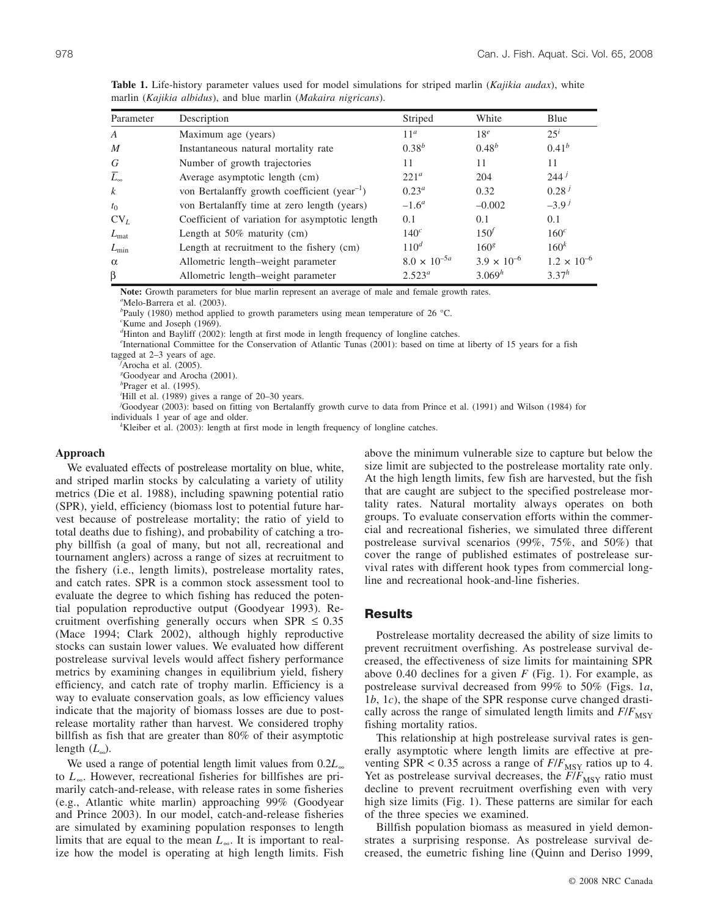| Parameter               | Description                                              | Striped               | White                | Blue                 |
|-------------------------|----------------------------------------------------------|-----------------------|----------------------|----------------------|
| $\boldsymbol{A}$        | Maximum age (years)                                      | 11 <sup>a</sup>       | 18 <sup>e</sup>      | $25^i$               |
| M                       | Instantaneous natural mortality rate                     | $0.38^{b}$            | $0.48^{b}$           | $0.41^{b}$           |
| G                       | Number of growth trajectories                            | 11                    | 11                   | 11                   |
| $\overline{L}_{\infty}$ | Average asymptotic length (cm)                           | 22.1 <sup>a</sup>     | 204                  | 244j                 |
| $\boldsymbol{k}$        | von Bertalanffy growth coefficient (year <sup>-1</sup> ) | $0.23^a$              | 0.32                 | $0.28^{j}$           |
| $t_0$                   | von Bertalanffy time at zero length (years)              | $-1.6^a$              | $-0.002$             | $-3.9^{j}$           |
| $CV_L$                  | Coefficient of variation for asymptotic length           | 0.1                   | 0.1                  | 0.1                  |
| $L_{\text{mat}}$        | Length at $50\%$ maturity (cm)                           | 140 <sup>c</sup>      | 150 <sup>f</sup>     | $160^c$              |
| $L_{\text{min}}$        | Length at recruitment to the fishery (cm)                | $110^d$               | 160 <sup>g</sup>     | $160^k$              |
| $\alpha$                | Allometric length-weight parameter                       | $8.0 \times 10^{-5a}$ | $3.9 \times 10^{-6}$ | $1.2 \times 10^{-6}$ |
| $\beta$                 | Allometric length-weight parameter                       | $2.523^{a}$           | 3.069 <sup>h</sup>   | 3.37 <sup>h</sup>    |

**Table 1.** Life-history parameter values used for model simulations for striped marlin (*Kajikia audax*), white marlin (*Kajikia albidus*), and blue marlin (*Makaira nigricans*).

**Note:** Growth parameters for blue marlin represent an average of male and female growth rates. *<sup>a</sup>*

Melo-Barrera et al. (2003).

<sup>*b*</sup>Pauly (1980) method applied to growth parameters using mean temperature of 26 °C.

*c* Kume and Joseph (1969).

*d* Hinton and Bayliff (2002): length at first mode in length frequency of longline catches.

*e* International Committee for the Conservation of Atlantic Tunas (2001): based on time at liberty of 15 years for a fish tagged at 2–3 years of age. *<sup>f</sup>*

 $<sup>*j*</sup>$ Arocha et al. (2005).</sup>

<sup>*g*</sup>Goodyear and Arocha (2001).

*h* Prager et al. (1995).

*i* Hill et al. (1989) gives a range of 20–30 years.

*j* Goodyear (2003): based on fitting von Bertalanffy growth curve to data from Prince et al. (1991) and Wilson (1984) for individuals 1 year of age and older. *<sup>k</sup>*

<sup>k</sup>Kleiber et al. (2003): length at first mode in length frequency of longline catches.

#### **Approach**

We evaluated effects of postrelease mortality on blue, white, and striped marlin stocks by calculating a variety of utility metrics (Die et al. 1988), including spawning potential ratio (SPR), yield, efficiency (biomass lost to potential future harvest because of postrelease mortality; the ratio of yield to total deaths due to fishing), and probability of catching a trophy billfish (a goal of many, but not all, recreational and tournament anglers) across a range of sizes at recruitment to the fishery (i.e., length limits), postrelease mortality rates, and catch rates. SPR is a common stock assessment tool to evaluate the degree to which fishing has reduced the potential population reproductive output (Goodyear 1993). Recruitment overfishing generally occurs when SPR  $\leq 0.35$ (Mace 1994; Clark 2002), although highly reproductive stocks can sustain lower values. We evaluated how different postrelease survival levels would affect fishery performance metrics by examining changes in equilibrium yield, fishery efficiency, and catch rate of trophy marlin. Efficiency is a way to evaluate conservation goals, as low efficiency values indicate that the majority of biomass losses are due to postrelease mortality rather than harvest. We considered trophy billfish as fish that are greater than 80% of their asymptotic length  $(L_{\infty})$ .

We used a range of potential length limit values from 0.2*L*<sup>∞</sup> to *L*<sub>∞</sub>. However, recreational fisheries for billfishes are primarily catch-and-release, with release rates in some fisheries (e.g., Atlantic white marlin) approaching 99% (Goodyear and Prince 2003). In our model, catch-and-release fisheries are simulated by examining population responses to length limits that are equal to the mean  $L_{\infty}$ . It is important to realize how the model is operating at high length limits. Fish above the minimum vulnerable size to capture but below the size limit are subjected to the postrelease mortality rate only. At the high length limits, few fish are harvested, but the fish that are caught are subject to the specified postrelease mortality rates. Natural mortality always operates on both groups. To evaluate conservation efforts within the commercial and recreational fisheries, we simulated three different postrelease survival scenarios (99%, 75%, and 50%) that cover the range of published estimates of postrelease survival rates with different hook types from commercial longline and recreational hook-and-line fisheries.

#### **Results**

Postrelease mortality decreased the ability of size limits to prevent recruitment overfishing. As postrelease survival decreased, the effectiveness of size limits for maintaining SPR above 0.40 declines for a given *F* (Fig. 1). For example, as postrelease survival decreased from 99% to 50% (Figs. 1*a*, 1*b*, 1*c*), the shape of the SPR response curve changed drastically across the range of simulated length limits and  $F/F<sub>MSY</sub>$ fishing mortality ratios.

This relationship at high postrelease survival rates is generally asymptotic where length limits are effective at preventing SPR  $< 0.35$  across a range of  $F/F_{\text{MSY}}$  ratios up to 4. Yet as postrelease survival decreases, the  $F/F_{\text{MSY}}$  ratio must decline to prevent recruitment overfishing even with very high size limits (Fig. 1). These patterns are similar for each of the three species we examined.

Billfish population biomass as measured in yield demonstrates a surprising response. As postrelease survival decreased, the eumetric fishing line (Quinn and Deriso 1999,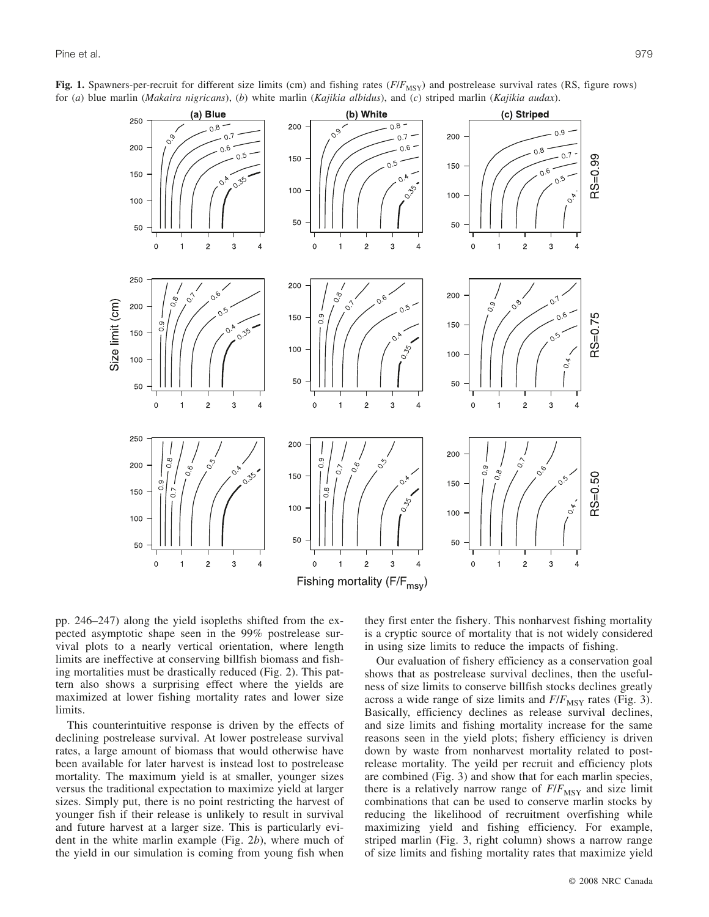

**Fig. 1.** Spawners-per-recruit for different size limits (cm) and fishing rates ( $F/F_{\text{MSY}}$ ) and postrelease survival rates (RS, figure rows) for (*a*) blue marlin (*Makaira nigricans*), (*b*) white marlin (*Kajikia albidus*), and (*c*) striped marlin (*Kajikia audax*).

pp. 246–247) along the yield isopleths shifted from the expected asymptotic shape seen in the 99% postrelease survival plots to a nearly vertical orientation, where length limits are ineffective at conserving billfish biomass and fishing mortalities must be drastically reduced (Fig. 2). This pattern also shows a surprising effect where the yields are maximized at lower fishing mortality rates and lower size limits.

This counterintuitive response is driven by the effects of declining postrelease survival. At lower postrelease survival rates, a large amount of biomass that would otherwise have been available for later harvest is instead lost to postrelease mortality. The maximum yield is at smaller, younger sizes versus the traditional expectation to maximize yield at larger sizes. Simply put, there is no point restricting the harvest of younger fish if their release is unlikely to result in survival and future harvest at a larger size. This is particularly evident in the white marlin example (Fig. 2*b*), where much of the yield in our simulation is coming from young fish when they first enter the fishery. This nonharvest fishing mortality is a cryptic source of mortality that is not widely considered in using size limits to reduce the impacts of fishing.

Our evaluation of fishery efficiency as a conservation goal shows that as postrelease survival declines, then the usefulness of size limits to conserve billfish stocks declines greatly across a wide range of size limits and  $F/F_{\text{MSY}}$  rates (Fig. 3). Basically, efficiency declines as release survival declines, and size limits and fishing mortality increase for the same reasons seen in the yield plots; fishery efficiency is driven down by waste from nonharvest mortality related to postrelease mortality. The yeild per recruit and efficiency plots are combined (Fig. 3) and show that for each marlin species, there is a relatively narrow range of  $F/F_{\text{MSY}}$  and size limit combinations that can be used to conserve marlin stocks by reducing the likelihood of recruitment overfishing while maximizing yield and fishing efficiency. For example, striped marlin (Fig. 3, right column) shows a narrow range of size limits and fishing mortality rates that maximize yield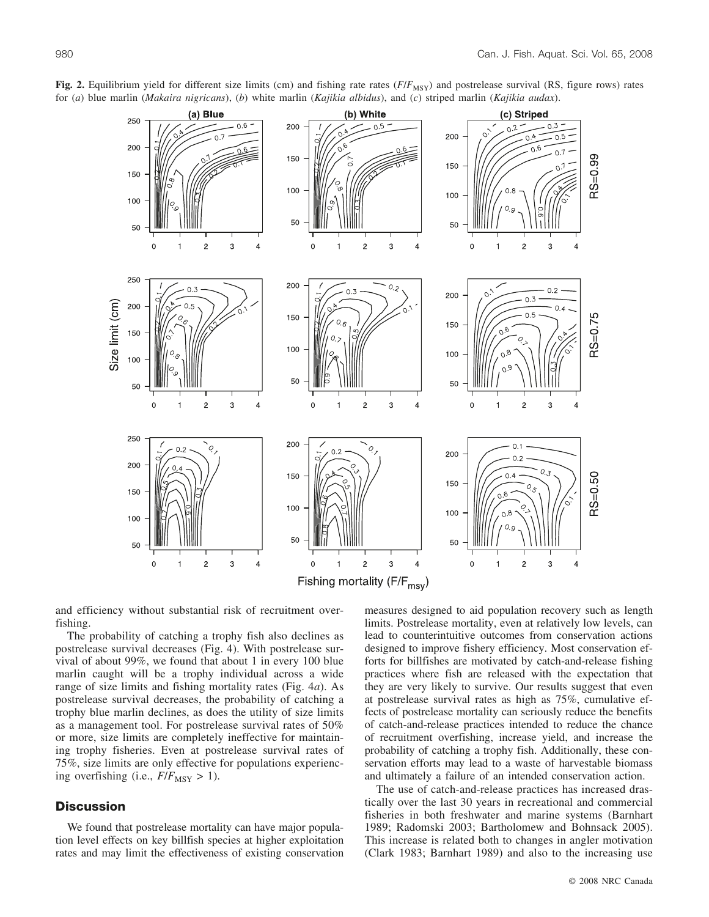

**Fig. 2.** Equilibrium yield for different size limits (cm) and fishing rate rates ( $F/F_{\text{MSY}}$ ) and postrelease survival (RS, figure rows) rates for (*a*) blue marlin (*Makaira nigricans*), (*b*) white marlin (*Kajikia albidus*), and (*c*) striped marlin (*Kajikia audax*).

and efficiency without substantial risk of recruitment overfishing.

The probability of catching a trophy fish also declines as postrelease survival decreases (Fig. 4). With postrelease survival of about 99%, we found that about 1 in every 100 blue marlin caught will be a trophy individual across a wide range of size limits and fishing mortality rates (Fig. 4*a*). As postrelease survival decreases, the probability of catching a trophy blue marlin declines, as does the utility of size limits as a management tool. For postrelease survival rates of 50% or more, size limits are completely ineffective for maintaining trophy fisheries. Even at postrelease survival rates of 75%, size limits are only effective for populations experiencing overfishing (i.e.,  $F/F_{\text{MSY}} > 1$ ).

# **Discussion**

We found that postrelease mortality can have major population level effects on key billfish species at higher exploitation rates and may limit the effectiveness of existing conservation measures designed to aid population recovery such as length limits. Postrelease mortality, even at relatively low levels, can lead to counterintuitive outcomes from conservation actions designed to improve fishery efficiency. Most conservation efforts for billfishes are motivated by catch-and-release fishing practices where fish are released with the expectation that they are very likely to survive. Our results suggest that even at postrelease survival rates as high as 75%, cumulative effects of postrelease mortality can seriously reduce the benefits of catch-and-release practices intended to reduce the chance of recruitment overfishing, increase yield, and increase the probability of catching a trophy fish. Additionally, these conservation efforts may lead to a waste of harvestable biomass and ultimately a failure of an intended conservation action.

The use of catch-and-release practices has increased drastically over the last 30 years in recreational and commercial fisheries in both freshwater and marine systems (Barnhart 1989; Radomski 2003; Bartholomew and Bohnsack 2005). This increase is related both to changes in angler motivation (Clark 1983; Barnhart 1989) and also to the increasing use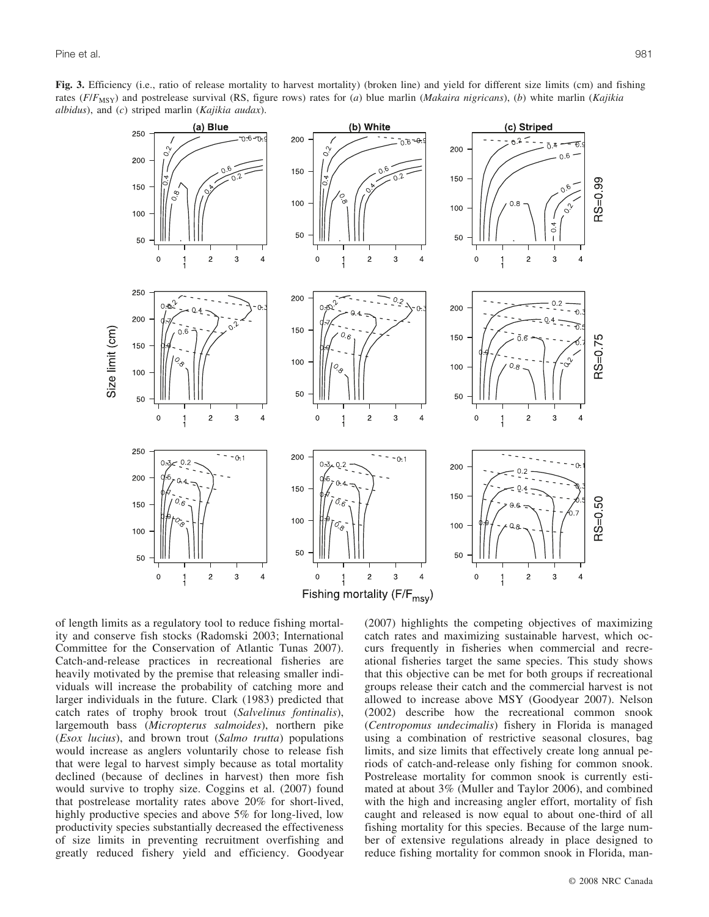**Fig. 3.** Efficiency (i.e., ratio of release mortality to harvest mortality) (broken line) and yield for different size limits (cm) and fishing rates (*F*/*F*MSY) and postrelease survival (RS, figure rows) rates for (*a*) blue marlin (*Makaira nigricans*), (*b*) white marlin (*Kajikia albidus*), and (*c*) striped marlin (*Kajikia audax*).



of length limits as a regulatory tool to reduce fishing mortality and conserve fish stocks (Radomski 2003; International Committee for the Conservation of Atlantic Tunas 2007). Catch-and-release practices in recreational fisheries are heavily motivated by the premise that releasing smaller individuals will increase the probability of catching more and larger individuals in the future. Clark (1983) predicted that catch rates of trophy brook trout (*Salvelinus fontinalis*), largemouth bass (*Micropterus salmoides*), northern pike (*Esox lucius*), and brown trout (*Salmo trutta*) populations would increase as anglers voluntarily chose to release fish that were legal to harvest simply because as total mortality declined (because of declines in harvest) then more fish would survive to trophy size. Coggins et al. (2007) found that postrelease mortality rates above 20% for short-lived, highly productive species and above 5% for long-lived, low productivity species substantially decreased the effectiveness of size limits in preventing recruitment overfishing and greatly reduced fishery yield and efficiency. Goodyear (2007) highlights the competing objectives of maximizing catch rates and maximizing sustainable harvest, which occurs frequently in fisheries when commercial and recreational fisheries target the same species. This study shows that this objective can be met for both groups if recreational groups release their catch and the commercial harvest is not allowed to increase above MSY (Goodyear 2007). Nelson (2002) describe how the recreational common snook (*Centropomus undecimalis*) fishery in Florida is managed using a combination of restrictive seasonal closures, bag limits, and size limits that effectively create long annual periods of catch-and-release only fishing for common snook. Postrelease mortality for common snook is currently estimated at about 3% (Muller and Taylor 2006), and combined with the high and increasing angler effort, mortality of fish caught and released is now equal to about one-third of all fishing mortality for this species. Because of the large number of extensive regulations already in place designed to reduce fishing mortality for common snook in Florida, man-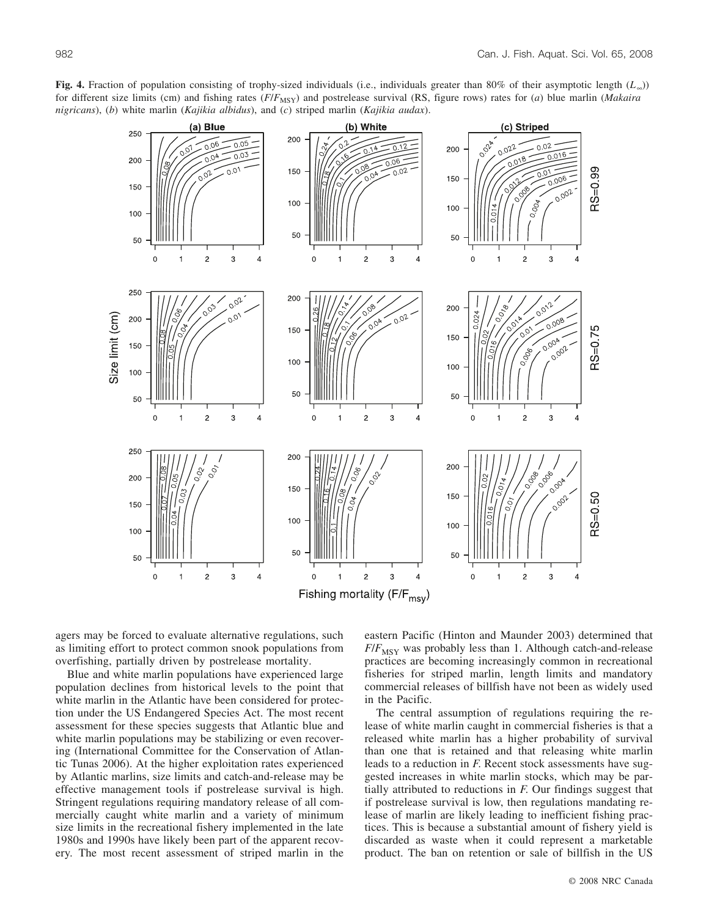

**Fig. 4.** Fraction of population consisting of trophy-sized individuals (i.e., individuals greater than 80% of their asymptotic length (*L*<sub>∞</sub>)) for different size limits (cm) and fishing rates ( $F/F_{\text{MSY}}$ ) and postrelease survival (RS, figure rows) rates for (*a*) blue marlin (*Makaira nigricans*), (*b*) white marlin (*Kajikia albidus*), and (*c*) striped marlin (*Kajikia audax*).

agers may be forced to evaluate alternative regulations, such as limiting effort to protect common snook populations from overfishing, partially driven by postrelease mortality.

Blue and white marlin populations have experienced large population declines from historical levels to the point that white marlin in the Atlantic have been considered for protection under the US Endangered Species Act. The most recent assessment for these species suggests that Atlantic blue and white marlin populations may be stabilizing or even recovering (International Committee for the Conservation of Atlantic Tunas 2006). At the higher exploitation rates experienced by Atlantic marlins, size limits and catch-and-release may be effective management tools if postrelease survival is high. Stringent regulations requiring mandatory release of all commercially caught white marlin and a variety of minimum size limits in the recreational fishery implemented in the late 1980s and 1990s have likely been part of the apparent recovery. The most recent assessment of striped marlin in the eastern Pacific (Hinton and Maunder 2003) determined that *F*/*F*<sub>MSY</sub> was probably less than 1. Although catch-and-release practices are becoming increasingly common in recreational fisheries for striped marlin, length limits and mandatory commercial releases of billfish have not been as widely used in the Pacific.

The central assumption of regulations requiring the release of white marlin caught in commercial fisheries is that a released white marlin has a higher probability of survival than one that is retained and that releasing white marlin leads to a reduction in *F*. Recent stock assessments have suggested increases in white marlin stocks, which may be partially attributed to reductions in *F*. Our findings suggest that if postrelease survival is low, then regulations mandating release of marlin are likely leading to inefficient fishing practices. This is because a substantial amount of fishery yield is discarded as waste when it could represent a marketable product. The ban on retention or sale of billfish in the US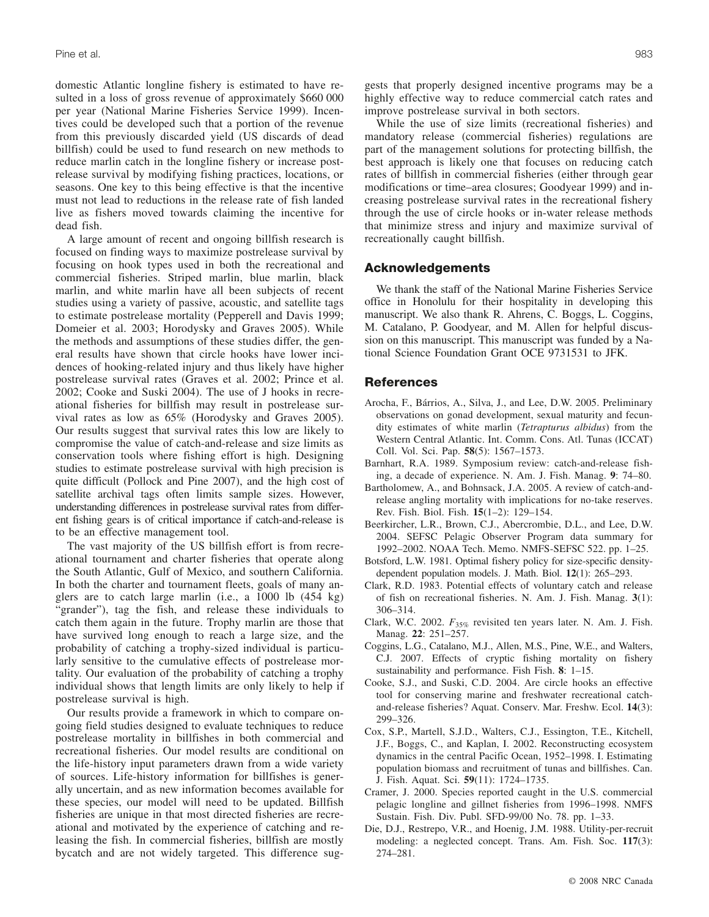domestic Atlantic longline fishery is estimated to have resulted in a loss of gross revenue of approximately \$660 000 per year (National Marine Fisheries Service 1999). Incentives could be developed such that a portion of the revenue from this previously discarded yield (US discards of dead billfish) could be used to fund research on new methods to reduce marlin catch in the longline fishery or increase postrelease survival by modifying fishing practices, locations, or seasons. One key to this being effective is that the incentive must not lead to reductions in the release rate of fish landed live as fishers moved towards claiming the incentive for dead fish.

A large amount of recent and ongoing billfish research is focused on finding ways to maximize postrelease survival by focusing on hook types used in both the recreational and commercial fisheries. Striped marlin, blue marlin, black marlin, and white marlin have all been subjects of recent studies using a variety of passive, acoustic, and satellite tags to estimate postrelease mortality (Pepperell and Davis 1999; Domeier et al. 2003; Horodysky and Graves 2005). While the methods and assumptions of these studies differ, the general results have shown that circle hooks have lower incidences of hooking-related injury and thus likely have higher postrelease survival rates (Graves et al. 2002; Prince et al. 2002; Cooke and Suski 2004). The use of J hooks in recreational fisheries for billfish may result in postrelease survival rates as low as 65% (Horodysky and Graves 2005). Our results suggest that survival rates this low are likely to compromise the value of catch-and-release and size limits as conservation tools where fishing effort is high. Designing studies to estimate postrelease survival with high precision is quite difficult (Pollock and Pine 2007), and the high cost of satellite archival tags often limits sample sizes. However, understanding differences in postrelease survival rates from different fishing gears is of critical importance if catch-and-release is to be an effective management tool.

The vast majority of the US billfish effort is from recreational tournament and charter fisheries that operate along the South Atlantic, Gulf of Mexico, and southern California. In both the charter and tournament fleets, goals of many anglers are to catch large marlin (i.e., a 1000 lb (454 kg) "grander"), tag the fish, and release these individuals to catch them again in the future. Trophy marlin are those that have survived long enough to reach a large size, and the probability of catching a trophy-sized individual is particularly sensitive to the cumulative effects of postrelease mortality. Our evaluation of the probability of catching a trophy individual shows that length limits are only likely to help if postrelease survival is high.

Our results provide a framework in which to compare ongoing field studies designed to evaluate techniques to reduce postrelease mortality in billfishes in both commercial and recreational fisheries. Our model results are conditional on the life-history input parameters drawn from a wide variety of sources. Life-history information for billfishes is generally uncertain, and as new information becomes available for these species, our model will need to be updated. Billfish fisheries are unique in that most directed fisheries are recreational and motivated by the experience of catching and releasing the fish. In commercial fisheries, billfish are mostly bycatch and are not widely targeted. This difference suggests that properly designed incentive programs may be a highly effective way to reduce commercial catch rates and improve postrelease survival in both sectors.

While the use of size limits (recreational fisheries) and mandatory release (commercial fisheries) regulations are part of the management solutions for protecting billfish, the best approach is likely one that focuses on reducing catch rates of billfish in commercial fisheries (either through gear modifications or time–area closures; Goodyear 1999) and increasing postrelease survival rates in the recreational fishery through the use of circle hooks or in-water release methods that minimize stress and injury and maximize survival of recreationally caught billfish.

## **Acknowledgements**

We thank the staff of the National Marine Fisheries Service office in Honolulu for their hospitality in developing this manuscript. We also thank R. Ahrens, C. Boggs, L. Coggins, M. Catalano, P. Goodyear, and M. Allen for helpful discussion on this manuscript. This manuscript was funded by a National Science Foundation Grant OCE 9731531 to JFK.

# **References**

- Arocha, F., Bárrios, A., Silva, J., and Lee, D.W. 2005. Preliminary observations on gonad development, sexual maturity and fecundity estimates of white marlin (*Tetrapturus albidus*) from the Western Central Atlantic. Int. Comm. Cons. Atl. Tunas (ICCAT) Coll. Vol. Sci. Pap. **58**(5): 1567–1573.
- Barnhart, R.A. 1989. Symposium review: catch-and-release fishing, a decade of experience. N. Am. J. Fish. Manag. **9**: 74–80.
- Bartholomew, A., and Bohnsack, J.A. 2005. A review of catch-andrelease angling mortality with implications for no-take reserves. Rev. Fish. Biol. Fish. **15**(1–2): 129–154.
- Beerkircher, L.R., Brown, C.J., Abercrombie, D.L., and Lee, D.W. 2004. SEFSC Pelagic Observer Program data summary for 1992–2002. NOAA Tech. Memo. NMFS-SEFSC 522. pp. 1–25.
- Botsford, L.W. 1981. Optimal fishery policy for size-specific densitydependent population models. J. Math. Biol. **12**(1): 265–293.
- Clark, R.D. 1983. Potential effects of voluntary catch and release of fish on recreational fisheries. N. Am. J. Fish. Manag. **3**(1): 306–314.
- Clark, W.C. 2002.  $F_{35\%}$  revisited ten years later. N. Am. J. Fish. Manag. **22**: 251–257.
- Coggins, L.G., Catalano, M.J., Allen, M.S., Pine, W.E., and Walters, C.J. 2007. Effects of cryptic fishing mortality on fishery sustainability and performance. Fish Fish. **8**: 1–15.
- Cooke, S.J., and Suski, C.D. 2004. Are circle hooks an effective tool for conserving marine and freshwater recreational catchand-release fisheries? Aquat. Conserv. Mar. Freshw. Ecol. **14**(3): 299–326.
- Cox, S.P., Martell, S.J.D., Walters, C.J., Essington, T.E., Kitchell, J.F., Boggs, C., and Kaplan, I. 2002. Reconstructing ecosystem dynamics in the central Pacific Ocean, 1952–1998. I. Estimating population biomass and recruitment of tunas and billfishes. Can. J. Fish. Aquat. Sci. **59**(11): 1724–1735.
- Cramer, J. 2000. Species reported caught in the U.S. commercial pelagic longline and gillnet fisheries from 1996–1998. NMFS Sustain. Fish. Div. Publ. SFD-99/00 No. 78. pp. 1–33.
- Die, D.J., Restrepo, V.R., and Hoenig, J.M. 1988. Utility-per-recruit modeling: a neglected concept. Trans. Am. Fish. Soc. **117**(3): 274–281.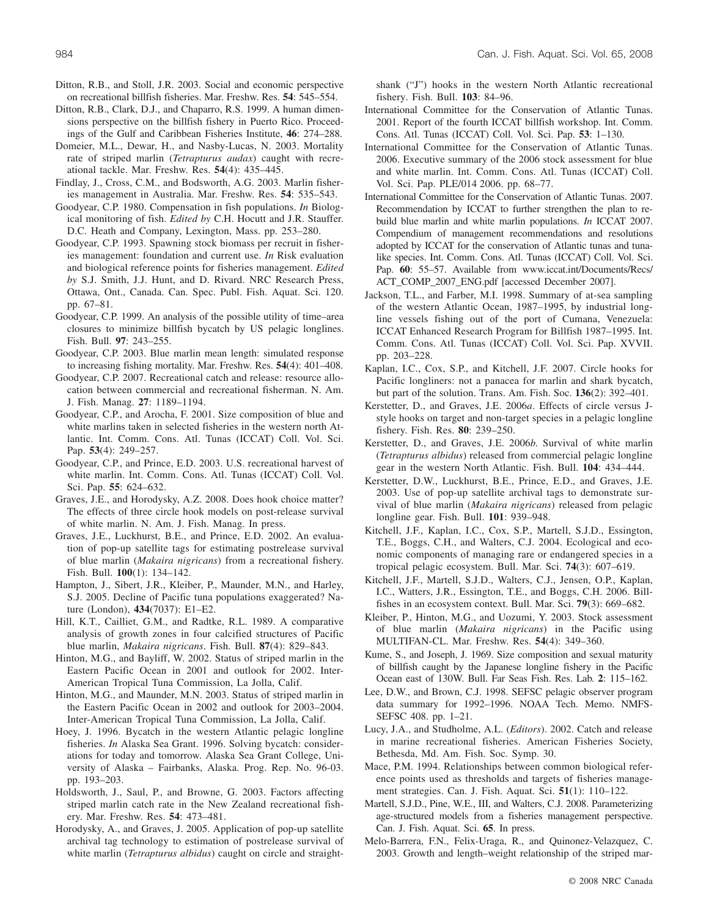Ditton, R.B., and Stoll, J.R. 2003. Social and economic perspective on recreational billfish fisheries. Mar. Freshw. Res. **54**: 545–554.

- Ditton, R.B., Clark, D.J., and Chaparro, R.S. 1999. A human dimensions perspective on the billfish fishery in Puerto Rico. Proceedings of the Gulf and Caribbean Fisheries Institute, **46**: 274–288.
- Domeier, M.L., Dewar, H., and Nasby-Lucas, N. 2003. Mortality rate of striped marlin (*Tetrapturus audax*) caught with recreational tackle. Mar. Freshw. Res. **54**(4): 435–445.
- Findlay, J., Cross, C.M., and Bodsworth, A.G. 2003. Marlin fisheries management in Australia. Mar. Freshw. Res. **54**: 535–543.
- Goodyear, C.P. 1980. Compensation in fish populations. *In* Biological monitoring of fish. *Edited by* C.H. Hocutt and J.R. Stauffer. D.C. Heath and Company, Lexington, Mass. pp. 253–280.
- Goodyear, C.P. 1993. Spawning stock biomass per recruit in fisheries management: foundation and current use. *In* Risk evaluation and biological reference points for fisheries management. *Edited by* S.J. Smith, J.J. Hunt, and D. Rivard. NRC Research Press, Ottawa, Ont., Canada. Can. Spec. Publ. Fish. Aquat. Sci. 120. pp. 67–81.
- Goodyear, C.P. 1999. An analysis of the possible utility of time–area closures to minimize billfish bycatch by US pelagic longlines. Fish. Bull. **97**: 243–255.
- Goodyear, C.P. 2003. Blue marlin mean length: simulated response to increasing fishing mortality. Mar. Freshw. Res. **54**(4): 401–408.
- Goodyear, C.P. 2007. Recreational catch and release: resource allocation between commercial and recreational fisherman. N. Am. J. Fish. Manag. **27**: 1189–1194.
- Goodyear, C.P., and Arocha, F. 2001. Size composition of blue and white marlins taken in selected fisheries in the western north Atlantic. Int. Comm. Cons. Atl. Tunas (ICCAT) Coll. Vol. Sci. Pap. **53**(4): 249–257.
- Goodyear, C.P., and Prince, E.D. 2003. U.S. recreational harvest of white marlin. Int. Comm. Cons. Atl. Tunas (ICCAT) Coll. Vol. Sci. Pap. **55**: 624–632.
- Graves, J.E., and Horodysky, A.Z. 2008. Does hook choice matter? The effects of three circle hook models on post-release survival of white marlin. N. Am. J. Fish. Manag. In press.
- Graves, J.E., Luckhurst, B.E., and Prince, E.D. 2002. An evaluation of pop-up satellite tags for estimating postrelease survival of blue marlin (*Makaira nigricans*) from a recreational fishery. Fish. Bull. **100**(1): 134–142.
- Hampton, J., Sibert, J.R., Kleiber, P., Maunder, M.N., and Harley, S.J. 2005. Decline of Pacific tuna populations exaggerated? Nature (London), **434**(7037): E1–E2.
- Hill, K.T., Cailliet, G.M., and Radtke, R.L. 1989. A comparative analysis of growth zones in four calcified structures of Pacific blue marlin, *Makaira nigricans*. Fish. Bull. **87**(4): 829–843.
- Hinton, M.G., and Bayliff, W. 2002. Status of striped marlin in the Eastern Pacific Ocean in 2001 and outlook for 2002. Inter-American Tropical Tuna Commission, La Jolla, Calif.
- Hinton, M.G., and Maunder, M.N. 2003. Status of striped marlin in the Eastern Pacific Ocean in 2002 and outlook for 2003–2004. Inter-American Tropical Tuna Commission, La Jolla, Calif.
- Hoey, J. 1996. Bycatch in the western Atlantic pelagic longline fisheries. *In* Alaska Sea Grant. 1996. Solving bycatch: considerations for today and tomorrow. Alaska Sea Grant College, University of Alaska – Fairbanks, Alaska. Prog. Rep. No. 96-03. pp. 193–203.
- Holdsworth, J., Saul, P., and Browne, G. 2003. Factors affecting striped marlin catch rate in the New Zealand recreational fishery. Mar. Freshw. Res. **54**: 473–481.
- Horodysky, A., and Graves, J. 2005. Application of pop-up satellite archival tag technology to estimation of postrelease survival of white marlin (*Tetrapturus albidus*) caught on circle and straight-

shank ("J") hooks in the western North Atlantic recreational fishery. Fish. Bull. **103**: 84–96.

- International Committee for the Conservation of Atlantic Tunas. 2001. Report of the fourth ICCAT billfish workshop. Int. Comm. Cons. Atl. Tunas (ICCAT) Coll. Vol. Sci. Pap. **53**: 1–130.
- International Committee for the Conservation of Atlantic Tunas. 2006. Executive summary of the 2006 stock assessment for blue and white marlin. Int. Comm. Cons. Atl. Tunas (ICCAT) Coll. Vol. Sci. Pap. PLE/014 2006. pp. 68–77.
- International Committee for the Conservation of Atlantic Tunas. 2007. Recommendation by ICCAT to further strengthen the plan to rebuild blue marlin and white marlin populations. *In* ICCAT 2007. Compendium of management recommendations and resolutions adopted by ICCAT for the conservation of Atlantic tunas and tunalike species. Int. Comm. Cons. Atl. Tunas (ICCAT) Coll. Vol. Sci. Pap. **60**: 55–57. Available from www.iccat.int/Documents/Recs/ ACT\_COMP\_2007\_ENG.pdf [accessed December 2007].
- Jackson, T.L., and Farber, M.I. 1998. Summary of at-sea sampling of the western Atlantic Ocean, 1987–1995, by industrial longline vessels fishing out of the port of Cumana, Venezuela: ICCAT Enhanced Research Program for Billfish 1987–1995. Int. Comm. Cons. Atl. Tunas (ICCAT) Coll. Vol. Sci. Pap. XVVII. pp. 203–228.
- Kaplan, I.C., Cox, S.P., and Kitchell, J.F. 2007. Circle hooks for Pacific longliners: not a panacea for marlin and shark bycatch, but part of the solution. Trans. Am. Fish. Soc. **136**(2): 392–401.
- Kerstetter, D., and Graves, J.E. 2006*a*. Effects of circle versus Jstyle hooks on target and non-target species in a pelagic longline fishery. Fish. Res. **80**: 239–250.
- Kerstetter, D., and Graves, J.E. 2006*b*. Survival of white marlin (*Tetrapturus albidus*) released from commercial pelagic longline gear in the western North Atlantic. Fish. Bull. **104**: 434–444.
- Kerstetter, D.W., Luckhurst, B.E., Prince, E.D., and Graves, J.E. 2003. Use of pop-up satellite archival tags to demonstrate survival of blue marlin (*Makaira nigricans*) released from pelagic longline gear. Fish. Bull. **101**: 939–948.
- Kitchell, J.F., Kaplan, I.C., Cox, S.P., Martell, S.J.D., Essington, T.E., Boggs, C.H., and Walters, C.J. 2004. Ecological and economic components of managing rare or endangered species in a tropical pelagic ecosystem. Bull. Mar. Sci. **74**(3): 607–619.
- Kitchell, J.F., Martell, S.J.D., Walters, C.J., Jensen, O.P., Kaplan, I.C., Watters, J.R., Essington, T.E., and Boggs, C.H. 2006. Billfishes in an ecosystem context. Bull. Mar. Sci. **79**(3): 669–682.
- Kleiber, P., Hinton, M.G., and Uozumi, Y. 2003. Stock assessment of blue marlin (*Makaira nigricans*) in the Pacific using MULTIFAN-CL. Mar. Freshw. Res. **54**(4): 349–360.
- Kume, S., and Joseph, J. 1969. Size composition and sexual maturity of billfish caught by the Japanese longline fishery in the Pacific Ocean east of 130W. Bull. Far Seas Fish. Res. Lab. **2**: 115–162.
- Lee, D.W., and Brown, C.J. 1998. SEFSC pelagic observer program data summary for 1992–1996. NOAA Tech. Memo. NMFS-SEFSC 408. pp. 1–21.
- Lucy, J.A., and Studholme, A.L. (*Editors*). 2002. Catch and release in marine recreational fisheries. American Fisheries Society, Bethesda, Md. Am. Fish. Soc. Symp. 30.
- Mace, P.M. 1994. Relationships between common biological reference points used as thresholds and targets of fisheries management strategies. Can. J. Fish. Aquat. Sci. **51**(1): 110–122.
- Martell, S.J.D., Pine, W.E., III, and Walters, C.J. 2008. Parameterizing age-structured models from a fisheries management perspective. Can. J. Fish. Aquat. Sci. **65**. In press.
- Melo-Barrera, F.N., Felix-Uraga, R., and Quinonez-Velazquez, C. 2003. Growth and length–weight relationship of the striped mar-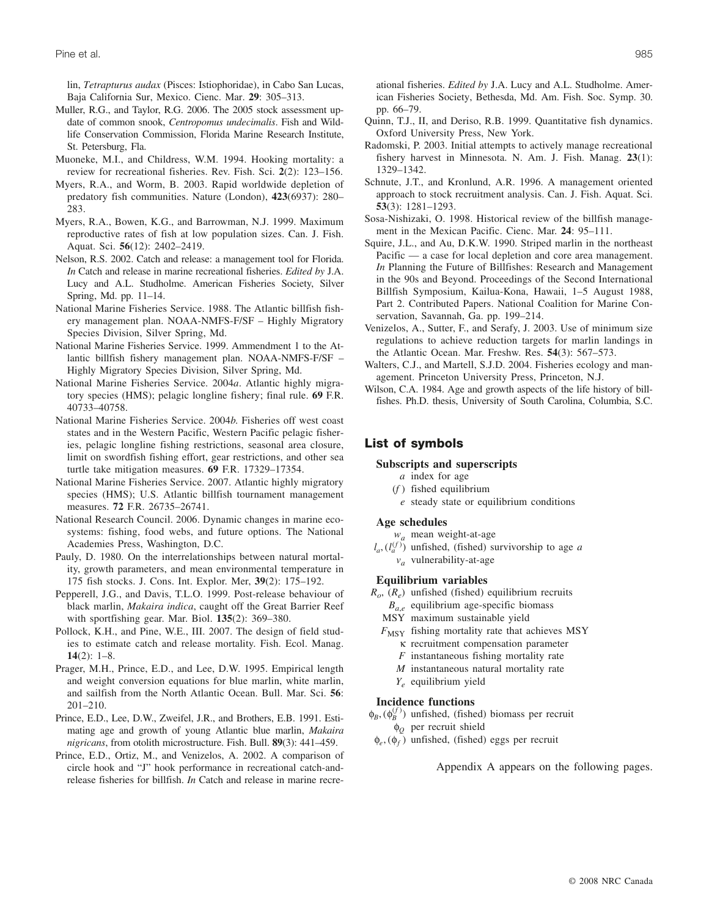Pine et al. 985

lin, *Tetrapturus audax* (Pisces: Istiophoridae), in Cabo San Lucas, Baja California Sur, Mexico. Cienc. Mar. **29**: 305–313.

- Muller, R.G., and Taylor, R.G. 2006. The 2005 stock assessment update of common snook, *Centropomus undecimalis*. Fish and Wildlife Conservation Commission, Florida Marine Research Institute, St. Petersburg, Fla.
- Muoneke, M.I., and Childress, W.M. 1994. Hooking mortality: a review for recreational fisheries. Rev. Fish. Sci. **2**(2): 123–156.
- Myers, R.A., and Worm, B. 2003. Rapid worldwide depletion of predatory fish communities. Nature (London), **423**(6937): 280– 283.
- Myers, R.A., Bowen, K.G., and Barrowman, N.J. 1999. Maximum reproductive rates of fish at low population sizes. Can. J. Fish. Aquat. Sci. **56**(12): 2402–2419.
- Nelson, R.S. 2002. Catch and release: a management tool for Florida. *In* Catch and release in marine recreational fisheries. *Edited by* J.A. Lucy and A.L. Studholme. American Fisheries Society, Silver Spring, Md. pp. 11–14.
- National Marine Fisheries Service. 1988. The Atlantic billfish fishery management plan. NOAA-NMFS-F/SF – Highly Migratory Species Division, Silver Spring, Md.
- National Marine Fisheries Service. 1999. Ammendment 1 to the Atlantic billfish fishery management plan. NOAA-NMFS-F/SF – Highly Migratory Species Division, Silver Spring, Md.
- National Marine Fisheries Service. 2004*a*. Atlantic highly migratory species (HMS); pelagic longline fishery; final rule. **69** F.R. 40733–40758.
- National Marine Fisheries Service. 2004*b*. Fisheries off west coast states and in the Western Pacific, Western Pacific pelagic fisheries, pelagic longline fishing restrictions, seasonal area closure, limit on swordfish fishing effort, gear restrictions, and other sea turtle take mitigation measures. **69** F.R. 17329–17354.
- National Marine Fisheries Service. 2007. Atlantic highly migratory species (HMS); U.S. Atlantic billfish tournament management measures. **72** F.R. 26735–26741.
- National Research Council. 2006. Dynamic changes in marine ecosystems: fishing, food webs, and future options. The National Academies Press, Washington, D.C.
- Pauly, D. 1980. On the interrelationships between natural mortality, growth parameters, and mean environmental temperature in 175 fish stocks. J. Cons. Int. Explor. Mer, **39**(2): 175–192.
- Pepperell, J.G., and Davis, T.L.O. 1999. Post-release behaviour of black marlin, *Makaira indica*, caught off the Great Barrier Reef with sportfishing gear. Mar. Biol. **135**(2): 369–380.
- Pollock, K.H., and Pine, W.E., III. 2007. The design of field studies to estimate catch and release mortality. Fish. Ecol. Manag. **14**(2): 1–8.
- Prager, M.H., Prince, E.D., and Lee, D.W. 1995. Empirical length and weight conversion equations for blue marlin, white marlin, and sailfish from the North Atlantic Ocean. Bull. Mar. Sci. **56**: 201–210.
- Prince, E.D., Lee, D.W., Zweifel, J.R., and Brothers, E.B. 1991. Estimating age and growth of young Atlantic blue marlin, *Makaira nigricans*, from otolith microstructure. Fish. Bull. **89**(3): 441–459.
- Prince, E.D., Ortiz, M., and Venizelos, A. 2002. A comparison of circle hook and "J" hook performance in recreational catch-andrelease fisheries for billfish. *In* Catch and release in marine recre-

ational fisheries. *Edited by* J.A. Lucy and A.L. Studholme. American Fisheries Society, Bethesda, Md. Am. Fish. Soc. Symp. 30. pp. 66–79.

- Quinn, T.J., II, and Deriso, R.B. 1999. Quantitative fish dynamics. Oxford University Press, New York.
- Radomski, P. 2003. Initial attempts to actively manage recreational fishery harvest in Minnesota. N. Am. J. Fish. Manag. **23**(1): 1329–1342.
- Schnute, J.T., and Kronlund, A.R. 1996. A management oriented approach to stock recruitment analysis. Can. J. Fish. Aquat. Sci. **53**(3): 1281–1293.
- Sosa-Nishizaki, O. 1998. Historical review of the billfish management in the Mexican Pacific. Cienc. Mar. **24**: 95–111.
- Squire, J.L., and Au, D.K.W. 1990. Striped marlin in the northeast Pacific — a case for local depletion and core area management. *In* Planning the Future of Billfishes: Research and Management in the 90s and Beyond. Proceedings of the Second International Billfish Symposium, Kailua-Kona, Hawaii, 1–5 August 1988, Part 2. Contributed Papers. National Coalition for Marine Conservation, Savannah, Ga. pp. 199–214.
- Venizelos, A., Sutter, F., and Serafy, J. 2003. Use of minimum size regulations to achieve reduction targets for marlin landings in the Atlantic Ocean. Mar. Freshw. Res. **54**(3): 567–573.
- Walters, C.J., and Martell, S.J.D. 2004. Fisheries ecology and management. Princeton University Press, Princeton, N.J.
- Wilson, C.A. 1984. Age and growth aspects of the life history of billfishes. Ph.D. thesis, University of South Carolina, Columbia, S.C.

# **List of symbols**

## **Subscripts and superscripts**

- *a* index for age
- (*f* ) fished equilibrium
- *e* steady state or equilibrium conditions

# **Age schedules**

- *wa* mean weight-at-age
- $l_a$ ,  $(l_a^{(f)})$  unfished, (fished) survivorship to age *a va* vulnerability-at-age

#### **Equilibrium variables**

- $R_o$ ,  $(R_e)$  unfished (fished) equilibrium recruits
	- $B_{a,e}$  equilibrium age-specific biomass
	- MSY maximum sustainable yield
	- $F_{\text{MSY}}$  fishing mortality rate that achieves MSY κ recruitment compensation parameter
		- *F* instantaneous fishing mortality rate
		- *M* instantaneous natural mortality rate
		- *Ye* equilibrium yield

#### **Incidence functions**

- $\phi_B$ ,  $(\phi_B^{(f)})$  unfished, (fished) biomass per recruit
	- φ*<sup>Q</sup>* per recruit shield
- $\phi_e$ ,  $(\phi_f)$  unfished, (fished) eggs per recruit

Appendix A appears on the following pages.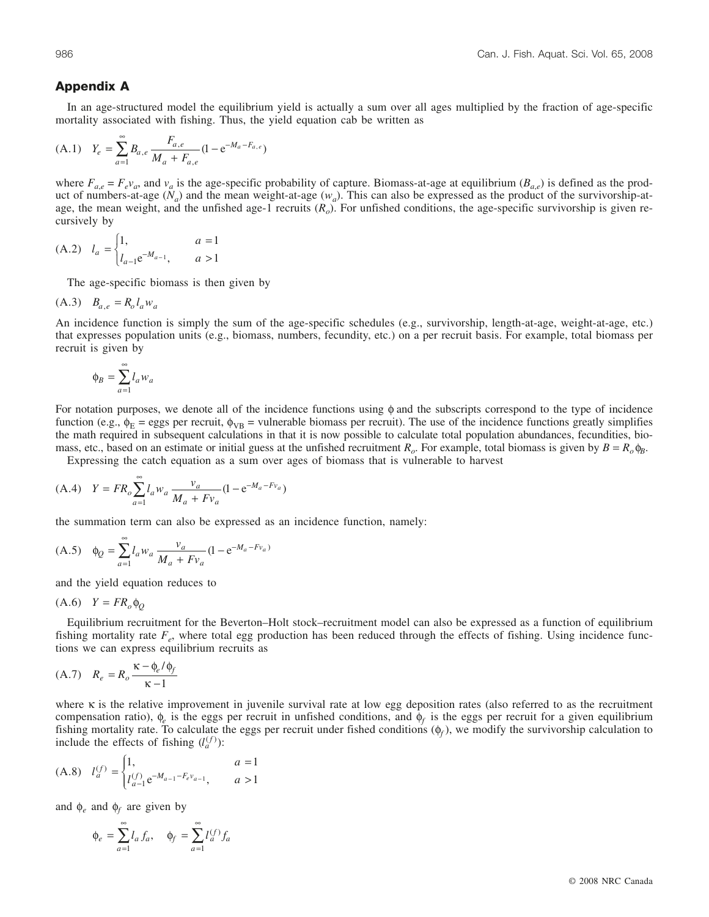## **Appendix A**

In an age-structured model the equilibrium yield is actually a sum over all ages multiplied by the fraction of age-specific mortality associated with fishing. Thus, the yield equation cab be written as

$$
(A.1) \quad Y_e = \sum_{a=1}^{\infty} B_{a,e} \frac{F_{a,e}}{M_a + F_{a,e}} (1 - e^{-M_a - F_{a,e}})
$$

where  $F_{a,e} = F_e v_a$ , and  $v_a$  is the age-specific probability of capture. Biomass-at-age at equilibrium ( $B_{a,e}$ ) is defined as the product of numbers-at-age  $(N_a)$  and the mean weight-at-age  $(w_a)$ . This can also be expressed as the product of the survivorship-atage, the mean weight, and the unfished age-1 recruits  $(R<sub>o</sub>)$ . For unfished conditions, the age-specific survivorship is given recursively by

(A.2) 
$$
l_a = \begin{cases} 1, & a = 1 \\ l_{a-1}e^{-M_{a-1}}, & a > 1 \end{cases}
$$

The age-specific biomass is then given by

$$
(A.3) \quad B_{a,e} = R_o l_a w_a
$$

An incidence function is simply the sum of the age-specific schedules (e.g., survivorship, length-at-age, weight-at-age, etc.) that expresses population units (e.g., biomass, numbers, fecundity, etc.) on a per recruit basis. For example, total biomass per recruit is given by

$$
\phi_B = \sum_{a=1}^{\infty} l_a w_a
$$

For notation purposes, we denote all of the incidence functions using φ and the subscripts correspond to the type of incidence function (e.g.,  $\phi_E$  = eggs per recruit,  $\phi_{VB}$  = vulnerable biomass per recruit). The use of the incidence functions greatly simplifies the math required in subsequent calculations in that it is now possible to calculate total population abundances, fecundities, biomass, etc., based on an estimate or initial guess at the unfished recruitment  $R_{\alpha}$ . For example, total biomass is given by  $B = R_{\alpha} \phi_R$ .

Expressing the catch equation as a sum over ages of biomass that is vulnerable to harvest

(A.4) 
$$
Y = FR_o \sum_{a=1}^{\infty} l_a w_a \frac{v_a}{M_a + Fv_a} (1 - e^{-M_a - Fv_a})
$$

the summation term can also be expressed as an incidence function, namely:

$$
(A.5) \quad \phi_Q = \sum_{a=1}^{\infty} l_a w_a \, \frac{v_a}{M_a + F v_a} (1 - e^{-M_a - F v_a})
$$

and the yield equation reduces to

$$
(A.6) \quad Y = FR_o \phi_Q
$$

Equilibrium recruitment for the Beverton–Holt stock–recruitment model can also be expressed as a function of equilibrium fishing mortality rate  $F_e$ , where total egg production has been reduced through the effects of fishing. Using incidence functions we can express equilibrium recruits as

$$
(A.7) \quad R_e = R_o \frac{\kappa - \phi_e / \phi_f}{\kappa - 1}
$$

where  $\kappa$  is the relative improvement in juvenile survival rate at low egg deposition rates (also referred to as the recruitment compensation ratio),  $\phi$  is the eggs per recruit in unfished conditions, and  $\phi_f$  is the eggs per recruit for a given equilibrium fishing mortality rate. To calculate the eggs per recruit under fished conditions  $(\phi_f)$ , we modify the survivorship calculation to include the effects of fishing  $(l_a^{(f)})$ :

$$
(A.8) \quad l_a^{(f)} = \begin{cases} 1, & a = 1 \\ l_{a-1}^{(f)} e^{-M_{a-1} - F_e v_{a-1}}, & a > 1 \end{cases}
$$

and  $\phi_e$  and  $\phi_f$  are given by

$$
\phi_e = \sum_{a=1}^{\infty} l_a f_a, \quad \phi_f = \sum_{a=1}^{\infty} l_a^{(f)} f_a
$$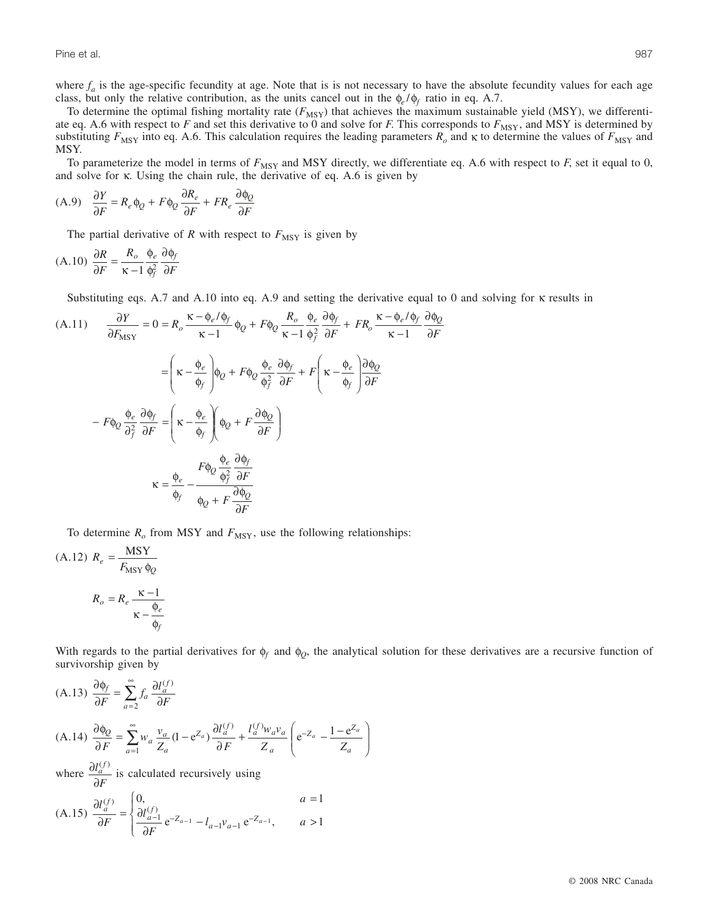Pine et al. 987

where  $f_a$  is the age-specific fecundity at age. Note that is is not necessary to have the absolute fecundity values for each age class, but only the relative contribution, as the units cancel out in the  $\phi_e/\phi_f$  ratio in eq. A.7.

To determine the optimal fishing mortality rate  $(F_{\text{MSY}})$  that achieves the maximum sustainable yield (MSY), we differentiate eq. A.6 with respect to *F* and set this derivative to 0 and solve for *F*. This corresponds to  $F_{\text{MSY}}$ , and MSY is determined by substituting  $F_{\text{MSY}}$  into eq. A.6. This calculation requires the leading parameters  $R_o$  and  $\kappa$  to determine the values of  $F_{\text{MSY}}$  and MSY.

To parameterize the model in terms of  $F_{\text{MSY}}$  and MSY directly, we differentiate eq. A.6 with respect to  $F$ , set it equal to 0, and solve for κ. Using the chain rule, the derivative of eq. A.6 is given by

$$
(A.9) \quad \frac{\partial Y}{\partial F} = R_e \phi_Q + F \phi_Q \frac{\partial R_e}{\partial F} + F R_e \frac{\partial \phi_Q}{\partial F}
$$

The partial derivative of  $R$  with respect to  $F_{\text{MSY}}$  is given by

$$
(A.10) \frac{\partial R}{\partial F} = \frac{R_o}{\kappa - 1} \frac{\phi_e}{\phi_f^2} \frac{\partial \phi_f}{\partial F}
$$

Substituting eqs. A.7 and A.10 into eq. A.9 and setting the derivative equal to 0 and solving for κ results in

(A.11) 
$$
\frac{\partial Y}{\partial F_{\text{MSY}}} = 0 = R_o \frac{\kappa - \phi_e / \phi_f}{\kappa - 1} \phi_Q + F \phi_Q \frac{R_o}{\kappa - 1} \frac{\phi_e}{\phi_f^2} \frac{\partial \phi_f}{\partial F} + F R_o \frac{\kappa - \phi_e / \phi_f}{\kappa - 1} \frac{\partial \phi_Q}{\partial F}
$$

$$
= \left(\kappa - \frac{\phi_e}{\phi_f}\right) \phi_Q + F \phi_Q \frac{\phi_e}{\phi_f^2} \frac{\partial \phi_f}{\partial F} + F \left(\kappa - \frac{\phi_e}{\phi_f}\right) \frac{\partial \phi_Q}{\partial F}
$$

$$
- F \phi_Q \frac{\phi_e}{\partial_f^2} \frac{\partial \phi_f}{\partial F} = \left(\kappa - \frac{\phi_e}{\phi_f}\right) \left(\phi_Q + F \frac{\partial \phi_Q}{\partial F}\right)
$$

$$
\kappa = \frac{\phi_e}{\phi_f} - \frac{F \phi_Q}{\phi_Q + F} \frac{\phi_e}{\partial F}
$$

To determine  $R_o$  from MSY and  $F_{\text{MSY}}$ , use the following relationships:

(A.12) 
$$
R_e = \frac{\text{MSY}}{F_{\text{MSY}} \phi_Q}
$$
  

$$
R_o = R_e \frac{\kappa - 1}{\kappa - \frac{\phi_e}{\phi_f}}
$$

With regards to the partial derivatives for  $\phi_f$  and  $\phi_O$ , the analytical solution for these derivatives are a recursive function of survivorship given by

(A.13) 
$$
\frac{\partial \phi_f}{\partial F} = \sum_{a=2}^{\infty} f_a \frac{\partial l_a^{(f)}}{\partial F}
$$
  
\n(A.14) 
$$
\frac{\partial \phi_Q}{\partial F} = \sum_{a=1}^{\infty} w_a \frac{v_a}{Z_a} (1 - e^{Z_a}) \frac{\partial l_a^{(f)}}{\partial F} + \frac{l_a^{(f)} w_a v_a}{Z_a} \left( e^{-Z_a} - \frac{1 - e^{Z_a}}{Z_a} \right)
$$
  
\nwhere 
$$
\frac{\partial l_a^{(f)}}{\partial F}
$$
 is calculated recursively using

(A.15) 
$$
\frac{\partial l_a^{(f)}}{\partial F} = \begin{cases} 0, & a = 1 \\ \frac{\partial l_{a-1}^{(f)}}{\partial F} e^{-Z_{a-1}} - l_{a-1} v_{a-1} e^{-Z_{a-1}}, & a > 1 \end{cases}
$$